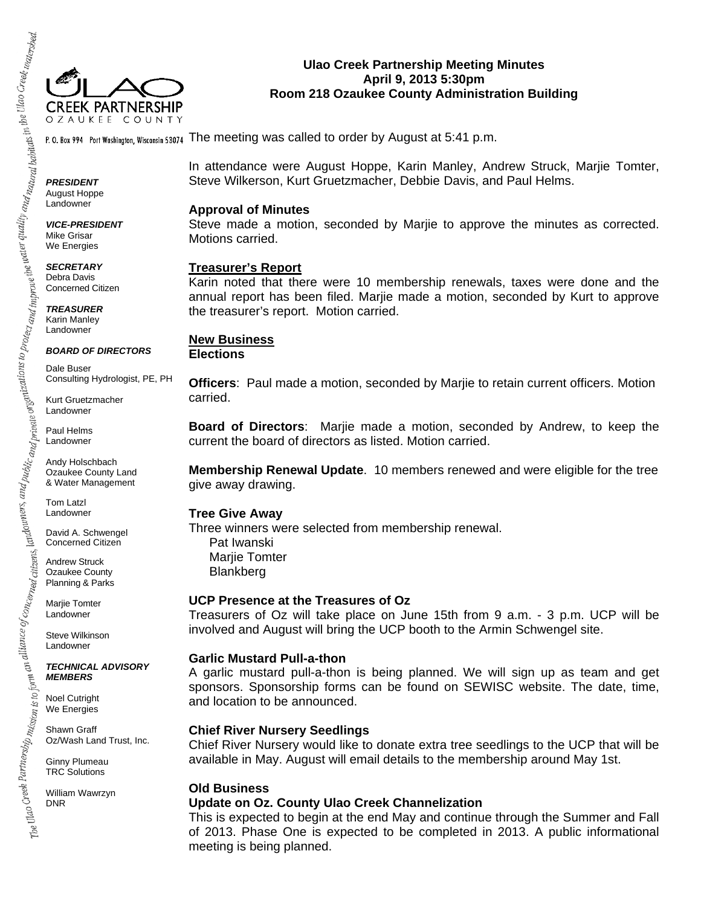

## **Ulao Creek Partnership Meeting Minutes April 9, 2013 5:30pm Room 218 Ozaukee County Administration Building**

P. O. Box 994 Port Washington, Wisconsin 53074 The meeting was called to order by August at 5:41 p.m.

In attendance were August Hoppe, Karin Manley, Andrew Struck, Marjie Tomter, Steve Wilkerson, Kurt Gruetzmacher, Debbie Davis, and Paul Helms.

#### **Approval of Minutes**

Steve made a motion, seconded by Marjie to approve the minutes as corrected. Motions carried.

#### **Treasurer's Report**

Karin noted that there were 10 membership renewals, taxes were done and the annual report has been filed. Marjie made a motion, seconded by Kurt to approve the treasurer's report. Motion carried.

# **New Business**

**Elections** 

**Officers**: Paul made a motion, seconded by Marjie to retain current officers. Motion carried.

**Board of Directors**: Marjie made a motion, seconded by Andrew, to keep the current the board of directors as listed. Motion carried.

**Membership Renewal Update**. 10 members renewed and were eligible for the tree give away drawing.

#### **Tree Give Away**

Three winners were selected from membership renewal. Pat Iwanski Marjie Tomter Blankberg

#### **UCP Presence at the Treasures of Oz**

Treasurers of Oz will take place on June 15th from 9 a.m. - 3 p.m. UCP will be involved and August will bring the UCP booth to the Armin Schwengel site.

## **Garlic Mustard Pull-a-thon**

A garlic mustard pull-a-thon is being planned. We will sign up as team and get sponsors. Sponsorship forms can be found on SEWISC website. The date, time, and location to be announced.

#### **Chief River Nursery Seedlings**

Chief River Nursery would like to donate extra tree seedlings to the UCP that will be available in May. August will email details to the membership around May 1st.

## **Old Business**

## **Update on Oz. County Ulao Creek Channelization**

This is expected to begin at the end May and continue through the Summer and Fall of 2013. Phase One is expected to be completed in 2013. A public informational meeting is being planned.

*PRESIDENT*  August Hoppe Landowner

*VICE-PRESIDENT*  Mike Grisar We Energies

*SECRETARY*  Debra Davis Concerned Citizen

*TREASURER*  Karin Manley Landowner

*BOARD OF DIRECTORS* 

Dale Buser Consulting Hydrologist, PE, PH

Kurt Gruetzmacher Landowner

Paul Helms Landowner

Andy Holschbach Ozaukee County Land & Water Management

Tom Latzl Landowner

David A. Schwengel Concerned Citizen

Andrew Struck Ozaukee County Planning & Parks

Marjie Tomter Landowner

Steve Wilkinson Landowner

*TECHNICAL ADVISORY MEMBERS* 

Noel Cutright We Energies

Shawn Graff Oz/Wash Land Trust, Inc.

Ginny Plumeau TRC Solutions

William Wawrzyn DNR